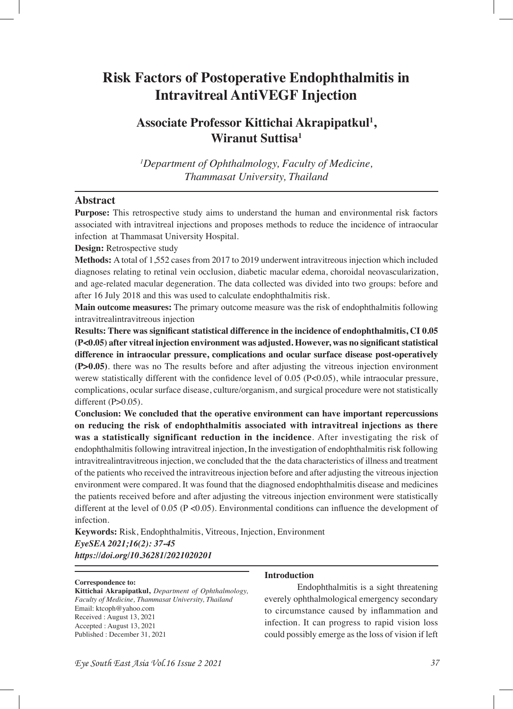# **Risk Factors of Postoperative Endophthalmitis in Intravitreal AntiVEGF Injection**

## **Associate Professor Kittichai Akrapipatkul1 , Wiranut Suttisa1**

*1 Department of Ophthalmology, Faculty of Medicine, Thammasat University, Thailand*

#### **Abstract**

**Purpose:** This retrospective study aims to understand the human and environmental risk factors associated with intravitreal injections and proposes methods to reduce the incidence of intraocular infection at Thammasat University Hospital.

**Design:** Retrospective study

**Methods:** A total of 1,552 cases from 2017 to 2019 underwent intravitreous injection which included diagnoses relating to retinal vein occlusion, diabetic macular edema, choroidal neovascularization, and age-related macular degeneration. The data collected was divided into two groups: before and after 16 July 2018 and this was used to calculate endophthalmitis risk.

**Main outcome measures:** The primary outcome measure was the risk of endophthalmitis following intravitrealintravitreous injection

**Results: There was signifcant statistical difference in the incidence of endophthalmitis, CI 0.05 (P<0.05) after vitreal injection environment was adjusted. However, was no signifcant statistical difference in intraocular pressure, complications and ocular surface disease post-operatively (P>0.05)**. there was no The results before and after adjusting the vitreous injection environment werew statistically different with the confidence level of 0.05 ( $P<0.05$ ), while intraocular pressure, complications, ocular surface disease, culture/organism, and surgical procedure were not statistically different  $(P>0.05)$ .

**Conclusion: We concluded that the operative environment can have important repercussions on reducing the risk of endophthalmitis associated with intravitreal injections as there was a statistically significant reduction in the incidence**. After investigating the risk of endophthalmitis following intravitreal injection, In the investigation of endophthalmitis risk following intravitrealintravitreous injection, we concluded that the the data characteristics of illness and treatment of the patients who received the intravitreous injection before and after adjusting the vitreous injection environment were compared. It was found that the diagnosed endophthalmitis disease and medicines the patients received before and after adjusting the vitreous injection environment were statistically different at the level of 0.05 ( $P \le 0.05$ ). Environmental conditions can influence the development of infection.

**Keywords:** Risk, Endophthalmitis, Vitreous, Injection, Environment *EyeSEA 2021;16(2): 37-45 https://doi.org/10.36281/2021020201*

#### **Correspondence to:**

**Kittichai Akrapipatkul,** *Department of Ophthalmology, Faculty of Medicine, Thammasat University, Thailand* Email: ktcoph@yahoo.com Received : August 13, 2021 Accepted : August 13, 2021 Published : December 31, 2021

#### **Introduction**

Endophthalmitis is a sight threatening everely ophthalmological emergency secondary to circumstance caused by infammation and infection. It can progress to rapid vision loss could possibly emerge as the loss of vision if left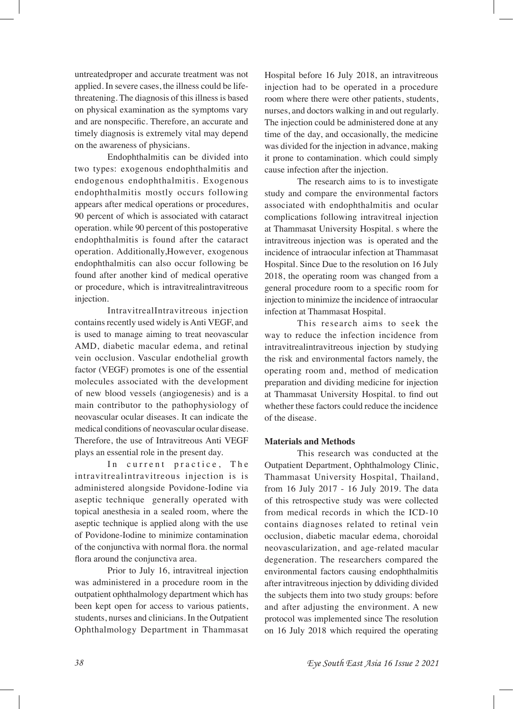untreatedproper and accurate treatment was not applied. In severe cases, the illness could be lifethreatening. The diagnosis of this illness is based on physical examination as the symptoms vary and are nonspecifc. Therefore, an accurate and timely diagnosis is extremely vital may depend on the awareness of physicians.

Endophthalmitis can be divided into two types: exogenous endophthalmitis and endogenous endophthalmitis. Exogenous endophthalmitis mostly occurs following appears after medical operations or procedures, 90 percent of which is associated with cataract operation. while 90 percent of this postoperative endophthalmitis is found after the cataract operation. Additionally,However, exogenous endophthalmitis can also occur following be found after another kind of medical operative or procedure, which is intravitrealintravitreous injection.

IntravitrealIntravitreous injection contains recently used widely is Anti VEGF, and is used to manage aiming to treat neovascular AMD, diabetic macular edema, and retinal vein occlusion. Vascular endothelial growth factor (VEGF) promotes is one of the essential molecules associated with the development of new blood vessels (angiogenesis) and is a main contributor to the pathophysiology of neovascular ocular diseases. It can indicate the medical conditions of neovascular ocular disease. Therefore, the use of Intravitreous Anti VEGF plays an essential role in the present day.

In current practice, The intravitrealintravitreous injection is is administered alongside Povidone-Iodine via aseptic technique generally operated with topical anesthesia in a sealed room, where the aseptic technique is applied along with the use of Povidone-Iodine to minimize contamination of the conjunctiva with normal fora. the normal flora around the conjunctiva area.

Prior to July 16, intravitreal injection was administered in a procedure room in the outpatient ophthalmology department which has been kept open for access to various patients, students, nurses and clinicians. In the Outpatient Ophthalmology Department in Thammasat

Hospital before 16 July 2018, an intravitreous injection had to be operated in a procedure room where there were other patients, students, nurses, and doctors walking in and out regularly. The injection could be administered done at any time of the day, and occasionally, the medicine was divided for the injection in advance, making it prone to contamination. which could simply cause infection after the injection.

The research aims to is to investigate study and compare the environmental factors associated with endophthalmitis and ocular complications following intravitreal injection at Thammasat University Hospital. s where the intravitreous injection was is operated and the incidence of intraocular infection at Thammasat Hospital. Since Due to the resolution on 16 July 2018, the operating room was changed from a general procedure room to a specifc room for injection to minimize the incidence of intraocular infection at Thammasat Hospital.

This research aims to seek the way to reduce the infection incidence from intravitrealintravitreous injection by studying the risk and environmental factors namely, the operating room and, method of medication preparation and dividing medicine for injection at Thammasat University Hospital. to fnd out whether these factors could reduce the incidence of the disease.

#### **Materials and Methods**

This research was conducted at the Outpatient Department, Ophthalmology Clinic, Thammasat University Hospital, Thailand, from 16 July 2017 - 16 July 2019. The data of this retrospective study was were collected from medical records in which the ICD-10 contains diagnoses related to retinal vein occlusion, diabetic macular edema, choroidal neovascularization, and age-related macular degeneration. The researchers compared the environmental factors causing endophthalmitis after intravitreous injection by ddividing divided the subjects them into two study groups: before and after adjusting the environment. A new protocol was implemented since The resolution on 16 July 2018 which required the operating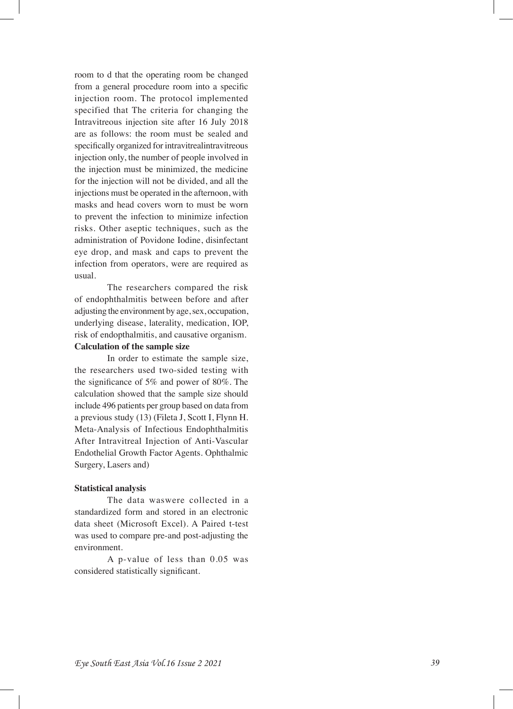room to d that the operating room be changed from a general procedure room into a specifc injection room. The protocol implemented specified that The criteria for changing the Intravitreous injection site after 16 July 2018 are as follows: the room must be sealed and specifcally organized for intravitrealintravitreous injection only, the number of people involved in the injection must be minimized, the medicine for the injection will not be divided, and all the injections must be operated in the afternoon, with masks and head covers worn to must be worn to prevent the infection to minimize infection risks. Other aseptic techniques, such as the administration of Povidone Iodine, disinfectant eye drop, and mask and caps to prevent the infection from operators, were are required as usual.

The researchers compared the risk of endophthalmitis between before and after adjusting the environment by age, sex, occupation, underlying disease, laterality, medication, IOP, risk of endopthalmitis, and causative organism.

#### **Calculation of the sample size**

In order to estimate the sample size, the researchers used two-sided testing with the signifcance of 5% and power of 80%. The calculation showed that the sample size should include 496 patients per group based on data from a previous study (13) (Fileta J, Scott I, Flynn H. Meta-Analysis of Infectious Endophthalmitis After Intravitreal Injection of Anti-Vascular Endothelial Growth Factor Agents. Ophthalmic Surgery, Lasers and)

#### **Statistical analysis**

The data waswere collected in a standardized form and stored in an electronic data sheet (Microsoft Excel). A Paired t-test was used to compare pre-and post-adjusting the environment.

A p-value of less than 0.05 was considered statistically signifcant.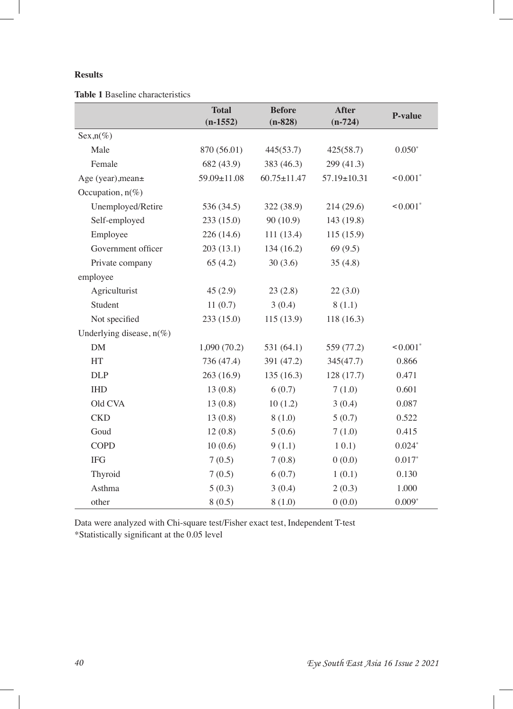### **Results**

**Table 1** Baseline characteristics

|                             | <b>Total</b><br>$(n-1552)$ | <b>Before</b><br>$(n-828)$ | <b>After</b><br>$(n-724)$ | P-value                |
|-----------------------------|----------------------------|----------------------------|---------------------------|------------------------|
| $Sex, n(\%)$                |                            |                            |                           |                        |
| Male                        | 870 (56.01)                | 445(53.7)                  | 425(58.7)                 | $0.050*$               |
| Female                      | 682 (43.9)                 | 383 (46.3)                 | 299 (41.3)                |                        |
| Age (year), mean+           | 59.09±11.08                | $60.75 \pm 11.47$          | 57.19±10.31               | $< 0.001$ <sup>*</sup> |
| Occupation, $n(\%)$         |                            |                            |                           |                        |
| Unemployed/Retire           | 536 (34.5)                 | 322 (38.9)                 | 214 (29.6)                | $< 0.001$ <sup>*</sup> |
| Self-employed               | 233(15.0)                  | 90(10.9)                   | 143 (19.8)                |                        |
| Employee                    | 226 (14.6)                 | 111(13.4)                  | 115(15.9)                 |                        |
| Government officer          | 203(13.1)                  | 134 (16.2)                 | 69(9.5)                   |                        |
| Private company             | 65(4.2)                    | 30(3.6)                    | 35(4.8)                   |                        |
| employee                    |                            |                            |                           |                        |
| Agriculturist               | 45(2.9)                    | 23(2.8)                    | 22(3.0)                   |                        |
| Student                     | 11(0.7)                    | 3(0.4)                     | 8(1.1)                    |                        |
| Not specified               | 233(15.0)                  | 115(13.9)                  | 118(16.3)                 |                        |
| Underlying disease, $n(\%)$ |                            |                            |                           |                        |
| DM                          | 1,090(70.2)                | 531 (64.1)                 | 559 (77.2)                | $< 0.001$ <sup>*</sup> |
| HT                          | 736 (47.4)                 | 391 (47.2)                 | 345(47.7)                 | 0.866                  |
| <b>DLP</b>                  | 263 (16.9)                 | 135(16.3)                  | 128 (17.7)                | 0.471                  |
| <b>IHD</b>                  | 13(0.8)                    | 6(0.7)                     | 7(1.0)                    | 0.601                  |
| Old CVA                     | 13(0.8)                    | 10(1.2)                    | 3(0.4)                    | 0.087                  |
| <b>CKD</b>                  | 13(0.8)                    | 8(1.0)                     | 5(0.7)                    | 0.522                  |
| Goud                        | 12(0.8)                    | 5(0.6)                     | 7(1.0)                    | 0.415                  |
| <b>COPD</b>                 | 10(0.6)                    | 9(1.1)                     | 10.1)                     | $0.024*$               |
| <b>IFG</b>                  | 7(0.5)                     | 7(0.8)                     | 0(0.0)                    | $0.017*$               |
| Thyroid                     | 7(0.5)                     | 6(0.7)                     | 1(0.1)                    | 0.130                  |
| Asthma                      | 5(0.3)                     | 3(0.4)                     | 2(0.3)                    | 1.000                  |
| other                       | 8(0.5)                     | 8(1.0)                     | 0(0.0)                    | $0.009*$               |

Data were analyzed with Chi-square test/Fisher exact test, Independent T-test \*Statistically signifcant at the 0.05 level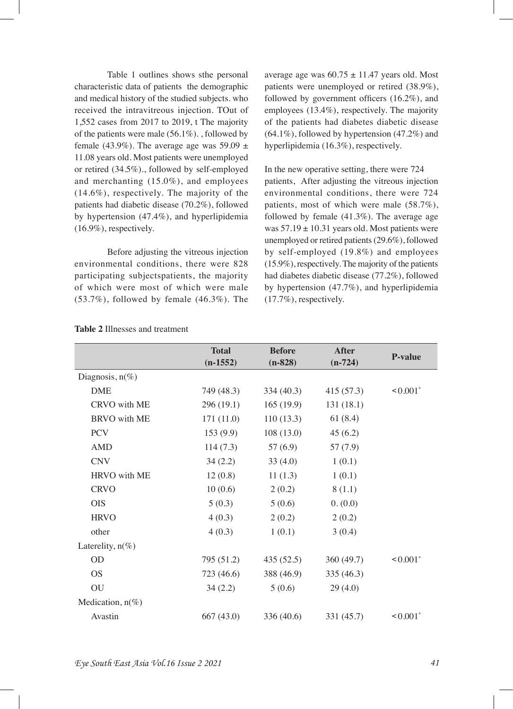Table 1 outlines shows sthe personal characteristic data of patients the demographic and medical history of the studied subjects. who received the intravitreous injection. TOut of 1,552 cases from 2017 to 2019, t The majority of the patients were male (56.1%). , followed by female (43.9%). The average age was  $59.09 \pm$ 11.08 years old. Most patients were unemployed or retired (34.5%)., followed by self-employed and merchanting (15.0%), and employees (14.6%), respectively. The majority of the patients had diabetic disease (70.2%), followed by hypertension (47.4%), and hyperlipidemia (16.9%), respectively.

Before adjusting the vitreous injection environmental conditions, there were 828 participating subjectspatients, the majority of which were most of which were male (53.7%), followed by female (46.3%). The

average age was  $60.75 \pm 11.47$  years old. Most patients were unemployed or retired (38.9%), followed by government officers  $(16.2\%)$ , and employees (13.4%), respectively. The majority of the patients had diabetes diabetic disease  $(64.1\%)$ , followed by hypertension  $(47.2\%)$  and hyperlipidemia (16.3%), respectively.

In the new operative setting, there were 724 patients, After adjusting the vitreous injection environmental conditions, there were 724 patients, most of which were male (58.7%), followed by female (41.3%). The average age was  $57.19 \pm 10.31$  years old. Most patients were unemployed or retired patients (29.6%), followed by self-employed (19.8%) and employees (15.9%), respectively. The majority of the patients had diabetes diabetic disease (77.2%), followed by hypertension (47.7%), and hyperlipidemia (17.7%), respectively.

|                     | <b>Total</b> | <b>Before</b> | <b>After</b> | <b>P-value</b>         |  |
|---------------------|--------------|---------------|--------------|------------------------|--|
|                     | $(n-1552)$   | $(n-828)$     | $(n-724)$    |                        |  |
| Diagnosis, $n(\%)$  |              |               |              |                        |  |
| <b>DME</b>          | 749 (48.3)   | 334(40.3)     | 415(57.3)    | $< 0.001$ <sup>*</sup> |  |
| CRVO with ME        | 296 (19.1)   | 165(19.9)     | 131 (18.1)   |                        |  |
| <b>BRVO</b> with ME | 171(11.0)    | 110(13.3)     | 61(8.4)      |                        |  |
| <b>PCV</b>          | 153(9.9)     | 108(13.0)     | 45(6.2)      |                        |  |
| <b>AMD</b>          | 114(7.3)     | 57 $(6.9)$    | 57(7.9)      |                        |  |
| <b>CNV</b>          | 34(2.2)      | 33(4.0)       | 1(0.1)       |                        |  |
| HRVO with ME        | 12(0.8)      | 11(1.3)       | 1(0.1)       |                        |  |
| <b>CRVO</b>         | 10(0.6)      | 2(0.2)        | 8(1.1)       |                        |  |
| <b>OIS</b>          | 5(0.3)       | 5(0.6)        | 0. (0.0)     |                        |  |
| <b>HRVO</b>         | 4(0.3)       | 2(0.2)        | 2(0.2)       |                        |  |
| other               | 4(0.3)       | 1(0.1)        | 3(0.4)       |                        |  |
| Laterelity, $n(\%)$ |              |               |              |                        |  |
| OD                  | 795 (51.2)   | 435(52.5)     | 360(49.7)    | $< 0.001$ <sup>*</sup> |  |
| <b>OS</b>           | 723 (46.6)   | 388 (46.9)    | 335(46.3)    |                        |  |
| ${\rm OU}$          | 34(2.2)      | 5(0.6)        | 29(4.0)      |                        |  |
| Medication, $n(\%)$ |              |               |              |                        |  |
| Avastin             | 667(43.0)    | 336 (40.6)    | 331 (45.7)   | $\leq 0.001^*$         |  |

#### **Table 2** Illnesses and treatment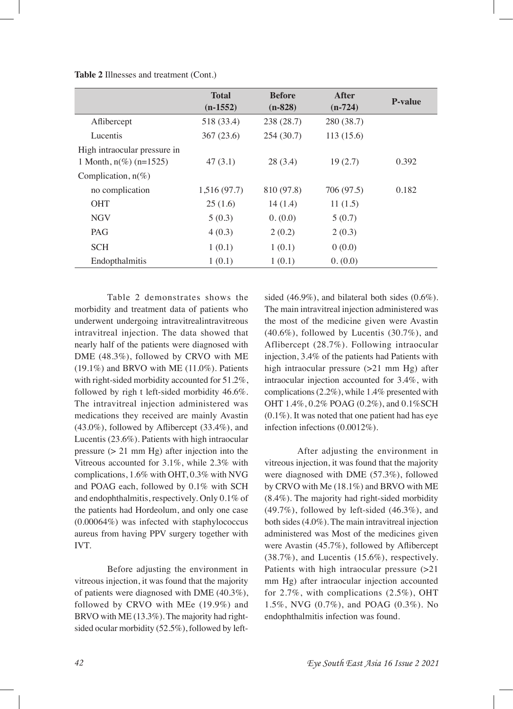|                              | <b>Total</b><br>$(n-1552)$ | <b>Before</b><br>$(n-828)$ | After<br>$(n-724)$ | <b>P-value</b> |
|------------------------------|----------------------------|----------------------------|--------------------|----------------|
| Aflibercept                  | 518 (33.4)                 | 238 (28.7)                 | 280 (38.7)         |                |
| Lucentis                     | 367(23.6)                  | 254(30.7)                  | 113(15.6)          |                |
| High intraocular pressure in |                            |                            |                    |                |
| 1 Month, $n\%$ ( $n=1525$ )  | 47(3.1)                    | 28(3.4)                    | 19(2.7)            | 0.392          |
| Complication, $n(\%)$        |                            |                            |                    |                |
| no complication              | 1,516 (97.7)               | 810 (97.8)                 | 706 (97.5)         | 0.182          |
| <b>OHT</b>                   | 25(1.6)                    | 14(1.4)                    | 11(1.5)            |                |
| <b>NGV</b>                   | 5(0.3)                     | 0. (0.0)                   | 5(0.7)             |                |
| PAG                          | 4(0.3)                     | 2(0.2)                     | 2(0.3)             |                |
| <b>SCH</b>                   | 1(0.1)                     | 1(0.1)                     | 0(0.0)             |                |
| Endopthalmitis               | 1(0.1)                     | 1(0.1)                     | 0. (0.0)           |                |
|                              |                            |                            |                    |                |

Table 2 demonstrates shows the morbidity and treatment data of patients who underwent undergoing intravitrealintravitreous intravitreal injection. The data showed that nearly half of the patients were diagnosed with DME (48.3%), followed by CRVO with ME  $(19.1\%)$  and BRVO with ME  $(11.0\%)$ . Patients with right-sided morbidity accounted for 51.2%, followed by righ t left-sided morbidity 46.6%. The intravitreal injection administered was medications they received are mainly Avastin (43.0%), followed by Afibercept (33.4%), and Lucentis (23.6%). Patients with high intraocular pressure (> 21 mm Hg) after injection into the Vitreous accounted for 3.1%, while 2.3% with complications, 1.6% with OHT, 0.3% with NVG and POAG each, followed by 0.1% with SCH and endophthalmitis, respectively. Only 0.1% of the patients had Hordeolum, and only one case (0.00064%) was infected with staphylococcus aureus from having PPV surgery together with IVT.

**Table 2** Illnesses and treatment (Cont.)

Before adjusting the environment in vitreous injection, it was found that the majority of patients were diagnosed with DME (40.3%), followed by CRVO with MEe (19.9%) and BRVO with ME (13.3%). The majority had rightsided ocular morbidity (52.5%), followed by left-

sided (46.9%), and bilateral both sides (0.6%). The main intravitreal injection administered was the most of the medicine given were Avastin  $(40.6\%)$ , followed by Lucentis  $(30.7\%)$ , and Aflibercept (28.7%). Following intraocular injection, 3.4% of the patients had Patients with high intraocular pressure (>21 mm Hg) after intraocular injection accounted for 3.4%, with complications (2.2%), while 1.4% presented with OHT 1.4%, 0.2% POAG (0.2%), and 0.1%SCH (0.1%). It was noted that one patient had has eye infection infections (0.0012%).

After adjusting the environment in vitreous injection, it was found that the majority were diagnosed with DME (57.3%), followed by CRVO with Me (18.1%) and BRVO with ME (8.4%). The majority had right-sided morbidity  $(49.7\%)$ , followed by left-sided  $(46.3\%)$ , and both sides (4.0%). The main intravitreal injection administered was Most of the medicines given were Avastin (45.7%), followed by Afibercept  $(38.7\%)$ , and Lucentis  $(15.6\%)$ , respectively. Patients with high intraocular pressure  $(>=21$ mm Hg) after intraocular injection accounted for 2.7%, with complications (2.5%), OHT 1.5%, NVG (0.7%), and POAG (0.3%). No endophthalmitis infection was found.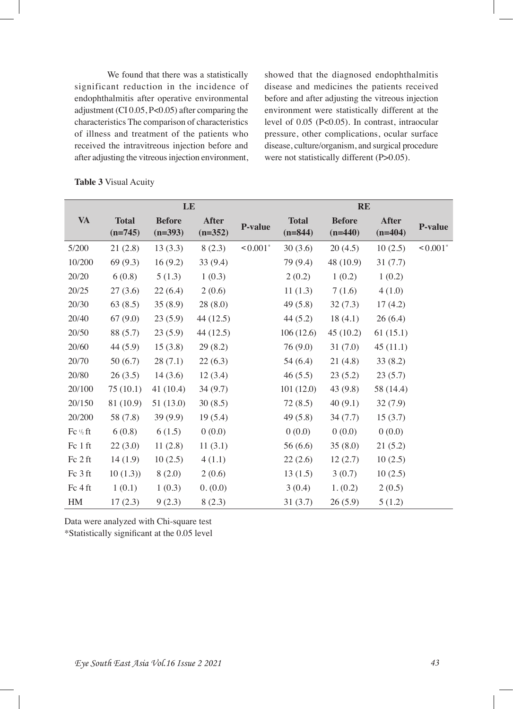We found that there was a statistically significant reduction in the incidence of endophthalmitis after operative environmental adjustment (CI 0.05, P<0.05) after comparing the characteristics The comparison of characteristics of illness and treatment of the patients who received the intravitreous injection before and after adjusting the vitreous injection environment, showed that the diagnosed endophthalmitis disease and medicines the patients received before and after adjusting the vitreous injection environment were statistically different at the level of 0.05 (P<0.05). In contrast, intraocular pressure, other complications, ocular surface disease, culture/organism, and surgical procedure were not statistically different (P>0.05).

|                                | LE                        |                            |                           |                        | <b>RE</b>                 |                            |                           |                        |
|--------------------------------|---------------------------|----------------------------|---------------------------|------------------------|---------------------------|----------------------------|---------------------------|------------------------|
| <b>VA</b>                      | <b>Total</b><br>$(n=745)$ | <b>Before</b><br>$(n=393)$ | <b>After</b><br>$(n=352)$ | <b>P-value</b>         | <b>Total</b><br>$(n=844)$ | <b>Before</b><br>$(n=440)$ | <b>After</b><br>$(n=404)$ | <b>P-value</b>         |
| 5/200                          | 21(2.8)                   | 13(3.3)                    | 8(2.3)                    | $< 0.001$ <sup>*</sup> | 30(3.6)                   | 20(4.5)                    | 10(2.5)                   | $< 0.001$ <sup>*</sup> |
| 10/200                         | 69(9.3)                   | 16(9.2)                    | 33(9.4)                   |                        | 79 (9.4)                  | 48 (10.9)                  | 31(7.7)                   |                        |
| 20/20                          | 6(0.8)                    | 5(1.3)                     | 1(0.3)                    |                        | 2(0.2)                    | 1(0.2)                     | 1(0.2)                    |                        |
| 20/25                          | 27(3.6)                   | 22(6.4)                    | 2(0.6)                    |                        | 11(1.3)                   | 7(1.6)                     | 4(1.0)                    |                        |
| 20/30                          | 63(8.5)                   | 35(8.9)                    | 28(8.0)                   |                        | 49(5.8)                   | 32(7.3)                    | 17(4.2)                   |                        |
| 20/40                          | 67(9.0)                   | 23(5.9)                    | 44 (12.5)                 |                        | 44(5.2)                   | 18(4.1)                    | 26(6.4)                   |                        |
| 20/50                          | 88 (5.7)                  | 23(5.9)                    | 44 (12.5)                 |                        | 106(12.6)                 | 45(10.2)                   | 61(15.1)                  |                        |
| 20/60                          | 44(5.9)                   | 15(3.8)                    | 29(8.2)                   |                        | 76(9.0)                   | 31(7.0)                    | 45(11.1)                  |                        |
| 20/70                          | 50(6.7)                   | 28(7.1)                    | 22(6.3)                   |                        | 54(6.4)                   | 21(4.8)                    | 33(8.2)                   |                        |
| 20/80                          | 26(3.5)                   | 14(3.6)                    | 12(3.4)                   |                        | 46(5.5)                   | 23(5.2)                    | 23(5.7)                   |                        |
| 20/100                         | 75(10.1)                  | 41(10.4)                   | 34(9.7)                   |                        | 101(12.0)                 | 43(9.8)                    | 58 (14.4)                 |                        |
| 20/150                         | 81 (10.9)                 | 51(13.0)                   | 30(8.5)                   |                        | 72(8.5)                   | 40(9.1)                    | 32(7.9)                   |                        |
| 20/200                         | 58 (7.8)                  | 39(9.9)                    | 19(5.4)                   |                        | 49(5.8)                   | 34(7.7)                    | 15(3.7)                   |                        |
| $\text{Fc}\,{}^{1/2}\text{ft}$ | 6(0.8)                    | 6(1.5)                     | 0(0.0)                    |                        | 0(0.0)                    | (0.0)                      | 0(0.0)                    |                        |
| Fc 1 ft                        | 22(3.0)                   | 11(2.8)                    | 11(3.1)                   |                        | 56(6.6)                   | 35(8.0)                    | 21(5.2)                   |                        |
| Fc 2 ft                        | 14(1.9)                   | 10(2.5)                    | 4(1.1)                    |                        | 22(2.6)                   | 12(2.7)                    | 10(2.5)                   |                        |
| Fc 3 ft                        | 10(1.3)                   | 8(2.0)                     | 2(0.6)                    |                        | 13(1.5)                   | 3(0.7)                     | 10(2.5)                   |                        |
| Fc 4 ft                        | 1(0.1)                    | 1(0.3)                     | 0. (0.0)                  |                        | 3(0.4)                    | 1. (0.2)                   | 2(0.5)                    |                        |
| HM                             | 17(2.3)                   | 9(2.3)                     | 8(2.3)                    |                        | 31(3.7)                   | 26(5.9)                    | 5(1.2)                    |                        |

Data were analyzed with Chi-square test

\*Statistically signifcant at the 0.05 level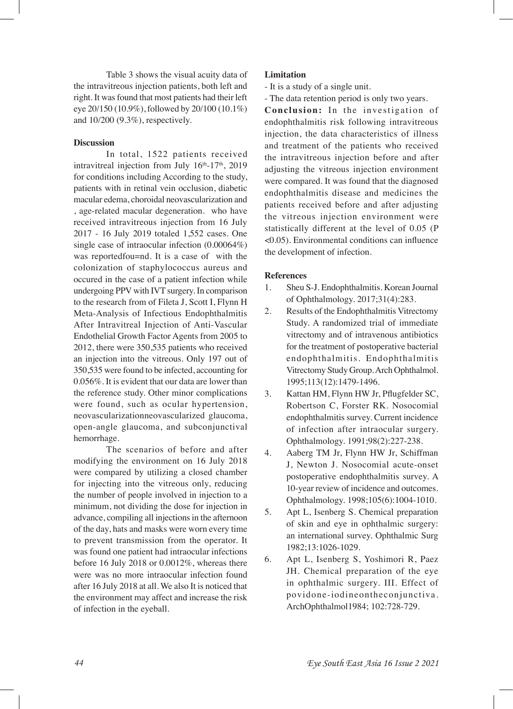Table 3 shows the visual acuity data of the intravitreous injection patients, both left and right. It was found that most patients had their left eye 20/150 (10.9%), followed by 20/100 (10.1%) and 10/200 (9.3%), respectively.

#### **Discussion**

In total, 1522 patients received intravitreal injection from July  $16<sup>th</sup>-17<sup>th</sup>$ , 2019 for conditions including According to the study, patients with in retinal vein occlusion, diabetic macular edema, choroidal neovascularization and , age-related macular degeneration. who have received intravitreous injection from 16 July 2017 - 16 July 2019 totaled 1,552 cases. One single case of intraocular infection (0.00064%) was reportedfou=nd. It is a case of with the colonization of staphylococcus aureus and occured in the case of a patient infection while undergoing PPV with IVT surgery. In comparison to the research from of Fileta J, Scott I, Flynn H Meta-Analysis of Infectious Endophthalmitis After Intravitreal Injection of Anti-Vascular Endothelial Growth Factor Agents from 2005 to 2012, there were 350,535 patients who received an injection into the vitreous. Only 197 out of 350,535 were found to be infected, accounting for 0.056%. It is evident that our data are lower than the reference study. Other minor complications were found, such as ocular hypertension, neovascularizationneovascularized glaucoma, open-angle glaucoma, and subconjunctival hemorrhage.

The scenarios of before and after modifying the environment on 16 July 2018 were compared by utilizing a closed chamber for injecting into the vitreous only, reducing the number of people involved in injection to a minimum, not dividing the dose for injection in advance, compiling all injections in the afternoon of the day, hats and masks were worn every time to prevent transmission from the operator. It was found one patient had intraocular infections before 16 July 2018 or 0.0012%, whereas there were was no more intraocular infection found after 16 July 2018 at all. We also It is noticed that the environment may affect and increase the risk of infection in the eyeball.

#### **Limitation**

- It is a study of a single unit.
- The data retention period is only two years.

**Conclusion:** In the investigation of endophthalmitis risk following intravitreous injection, the data characteristics of illness and treatment of the patients who received the intravitreous injection before and after adjusting the vitreous injection environment were compared. It was found that the diagnosed endophthalmitis disease and medicines the patients received before and after adjusting the vitreous injection environment were statistically different at the level of 0.05 (P <0.05). Environmental conditions can infuence the development of infection.

#### **References**

- 1. Sheu S-J. Endophthalmitis. Korean Journal of Ophthalmology. 2017;31(4):283.
- 2. Results of the Endophthalmitis Vitrectomy Study. A randomized trial of immediate vitrectomy and of intravenous antibiotics for the treatment of postoperative bacterial endophthalmitis. Endophthalmitis Vitrectomy Study Group. Arch Ophthalmol. 1995;113(12):1479-1496.
- 3. Kattan HM, Flynn HW Jr, Pfugfelder SC, Robertson C, Forster RK. Nosocomial endophthalmitis survey. Current incidence of infection after intraocular surgery. Ophthalmology. 1991;98(2):227-238.
- 4. Aaberg TM Jr, Flynn HW Jr, Schiffman J, Newton J. Nosocomial acute-onset postoperative endophthalmitis survey. A 10-year review of incidence and outcomes. Ophthalmology. 1998;105(6):1004-1010.
- 5. Apt L, Isenberg S. Chemical preparation of skin and eye in ophthalmic surgery: an international survey. Ophthalmic Surg 1982;13:1026-1029.
- 6. Apt L, Isenberg S, Yoshimori R, Paez JH. Chemical preparation of the eye in ophthalmic surgery. III. Effect of povidone-iodineontheconjunctiva. ArchOphthalmol1984; 102:728-729.